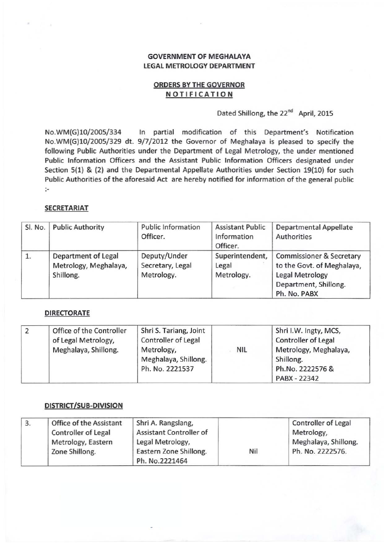# **GOVERNMENT OF MEGHALAYA** LEGAL METROLOGY DEPARTMENT

## ORDERS BYTHE GOVERNOR **NOTIFICATION**

# Dated Shillong, the 22<sup>nd</sup> April, 2015

**No.WM(G)10/200S/334 In partial modification of this Department's Notification**  No.WM(G)10/2005/329 dt. 9/7/2012 the Governor of Meghalaya is pleased to specify the following Public Authorities under the Department of Legal Metrology, the under mentioned **Public Information Officers and the Assistant Public Information Officers designated under**  Section 5(1) & (2) and the Departmental Appellate Authorities under Section 19(10) for such **Public Authorities of the aforesaid Act are hereby notified for information of the general public**  :

#### SECRETARIAT

| Sl. No. | <b>Public Authority</b>                                   | <b>Public Information</b><br>Officer.          | <b>Assistant Public</b><br>Information<br>Officer. | <b>Departmental Appellate</b><br><b>Authorities</b>                                                                           |
|---------|-----------------------------------------------------------|------------------------------------------------|----------------------------------------------------|-------------------------------------------------------------------------------------------------------------------------------|
| 1.      | Department of Legal<br>Metrology, Meghalaya,<br>Shillong. | Deputy/Under<br>Secretary, Legal<br>Metrology. | Superintendent,<br>Legal<br>Metrology.             | <b>Commissioner &amp; Secretary</b><br>to the Govt. of Meghalaya,<br>Legal Metrology<br>Department, Shillong.<br>Ph. No. PABX |

### DIRECTORATE

| 2 | Office of the Controller<br>of Legal Metrology, | Shri S. Tariang, Joint<br><b>Controller of Legal</b> |            | Shri I.W. Ingty, MCS,<br><b>Controller of Legal</b> |
|---|-------------------------------------------------|------------------------------------------------------|------------|-----------------------------------------------------|
|   | Meghalaya, Shillong.                            | Metrology,<br>Meghalaya, Shillong.                   | <b>NIL</b> | Metrology, Meghalaya,<br>Shillong.                  |
|   |                                                 | Ph. No. 2221537                                      |            | Ph.No. 2222576 &<br>PABX - 22342                    |

## DISTRICT/SUB-DIVISION

| 3. | Office of the Assistant    | Shri A. Rangslang,                       |     | <b>Controller of Legal</b> |
|----|----------------------------|------------------------------------------|-----|----------------------------|
|    | <b>Controller of Legal</b> | <b>Assistant Controller of</b>           |     | Metrology,                 |
|    | Metrology, Eastern         | Legal Metrology,                         |     | Meghalaya, Shillong.       |
|    | Zone Shillong.             | Eastern Zone Shillong.<br>Ph. No.2221464 | Nil | Ph. No. 2222576.           |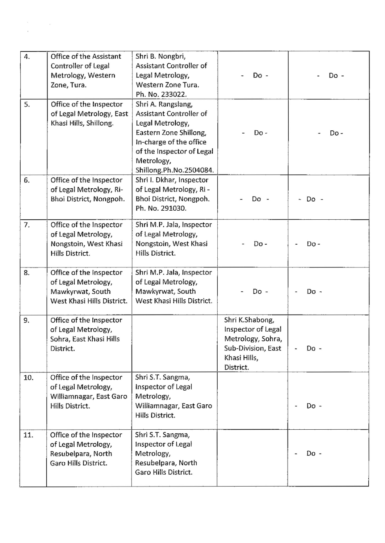| 4.  | Office of the Assistant<br>Controller of Legal<br>Metrology, Western<br>Zone, Tura.              | Shri B. Nongbri,<br>Assistant Controller of<br>Legal Metrology,<br>Western Zone Tura.<br>Ph. No. 233022.                                                                                     | Do -                                                                                                          | Do -        |
|-----|--------------------------------------------------------------------------------------------------|----------------------------------------------------------------------------------------------------------------------------------------------------------------------------------------------|---------------------------------------------------------------------------------------------------------------|-------------|
| 5.  | Office of the Inspector<br>of Legal Metrology, East<br>Khasi Hills, Shillong.                    | Shri A. Rangslang,<br>Assistant Controller of<br>Legal Metrology,<br>Eastern Zone Shillong,<br>In-charge of the office<br>of the Inspector of Legal<br>Metrology,<br>Shillong.Ph.No.2504084. | Do-                                                                                                           | Do -        |
| 6.  | Office of the Inspector<br>of Legal Metrology, Ri-<br>Bhoi District, Nongpoh.                    | Shri I. Dkhar, Inspector<br>of Legal Metrology, Ri-<br>Bhoi District, Nongpoh.<br>Ph. No. 291030.                                                                                            | Do -                                                                                                          | $\sim$ Do - |
| 7.  | Office of the Inspector<br>of Legal Metrology,<br>Nongstoin, West Khasi<br>Hills District.       | Shri M.P. Jala, Inspector<br>of Legal Metrology,<br>Nongstoin, West Khasi<br>Hills District.                                                                                                 | Do -                                                                                                          | $Do -$      |
| 8.  | Office of the Inspector<br>of Legal Metrology,<br>Mawkyrwat, South<br>West Khasi Hills District. | Shri M.P. Jala, Inspector<br>of Legal Metrology,<br>Mawkyrwat, South<br>West Khasi Hills District.                                                                                           | Do -                                                                                                          | Do -        |
| 9.  | Office of the Inspector<br>of Legal Metrology,<br>Sohra, East Khasi Hills<br>District.           |                                                                                                                                                                                              | Shri K.Shabong,<br>Inspector of Legal<br>Metrology, Sohra,<br>Sub-Division, East<br>Khasi Hills,<br>District. | Do -        |
| 10. | Office of the Inspector<br>of Legal Metrology,<br>Williamnagar, East Garo<br>Hills District.     | Shri S.T. Sangma,<br>Inspector of Legal<br>Metrology,<br>Williamnagar, East Garo<br>Hills District.                                                                                          |                                                                                                               | Do -        |
| 11. | Office of the Inspector<br>of Legal Metrology,<br>Resubelpara, North<br>Garo Hills District.     | Shri S.T. Sangma,<br>Inspector of Legal<br>Metrology,<br>Resubelpara, North<br>Garo Hills District.                                                                                          |                                                                                                               | Do -        |

 $\label{eq:2.1} \frac{d\mathbf{r}}{d\mathbf{r}} = \frac{d\mathbf{r}}{d\mathbf{r}}\left(\mathbf{r}^{\prime}\right)^{2} \mathbf{r}^{\prime}$